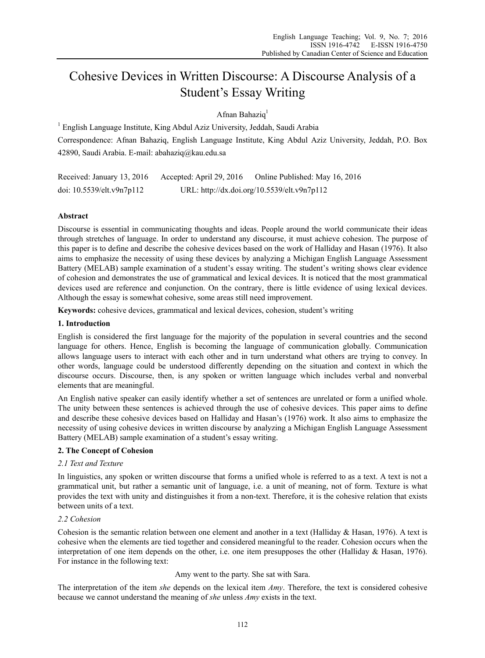# Cohesive Devices in Written Discourse: A Discourse Analysis of a Student's Essay Writing

Afnan Bahaziq1

<sup>1</sup> English Language Institute, King Abdul Aziz University, Jeddah, Saudi Arabia Correspondence: Afnan Bahaziq, English Language Institute, King Abdul Aziz University, Jeddah, P.O. Box 42890, Saudi Arabia. E-mail: abahaziq@kau.edu.sa

Received: January 13, 2016 Accepted: April 29, 2016 Online Published: May 16, 2016 doi: 10.5539/elt.v9n7p112 URL: http://dx.doi.org/10.5539/elt.v9n7p112

# **Abstract**

Discourse is essential in communicating thoughts and ideas. People around the world communicate their ideas through stretches of language. In order to understand any discourse, it must achieve cohesion. The purpose of this paper is to define and describe the cohesive devices based on the work of Halliday and Hasan (1976). It also aims to emphasize the necessity of using these devices by analyzing a Michigan English Language Assessment Battery (MELAB) sample examination of a student's essay writing. The student's writing shows clear evidence of cohesion and demonstrates the use of grammatical and lexical devices. It is noticed that the most grammatical devices used are reference and conjunction. On the contrary, there is little evidence of using lexical devices. Although the essay is somewhat cohesive, some areas still need improvement.

**Keywords:** cohesive devices, grammatical and lexical devices, cohesion, student's writing

## **1. Introduction**

English is considered the first language for the majority of the population in several countries and the second language for others. Hence, English is becoming the language of communication globally. Communication allows language users to interact with each other and in turn understand what others are trying to convey. In other words, language could be understood differently depending on the situation and context in which the discourse occurs. Discourse, then, is any spoken or written language which includes verbal and nonverbal elements that are meaningful.

An English native speaker can easily identify whether a set of sentences are unrelated or form a unified whole. The unity between these sentences is achieved through the use of cohesive devices. This paper aims to define and describe these cohesive devices based on Halliday and Hasan's (1976) work. It also aims to emphasize the necessity of using cohesive devices in written discourse by analyzing a Michigan English Language Assessment Battery (MELAB) sample examination of a student's essay writing.

# **2. The Concept of Cohesion**

## *2.1 Text and Texture*

In linguistics, any spoken or written discourse that forms a unified whole is referred to as a text. A text is not a grammatical unit, but rather a semantic unit of language, i.e. a unit of meaning, not of form. Texture is what provides the text with unity and distinguishes it from a non-text. Therefore, it is the cohesive relation that exists between units of a text.

## *2.2 Cohesion*

Cohesion is the semantic relation between one element and another in a text (Halliday & Hasan, 1976). A text is cohesive when the elements are tied together and considered meaningful to the reader. Cohesion occurs when the interpretation of one item depends on the other, i.e. one item presupposes the other (Halliday & Hasan, 1976). For instance in the following text:

## Amy went to the party. She sat with Sara.

The interpretation of the item *she* depends on the lexical item *Amy*. Therefore, the text is considered cohesive because we cannot understand the meaning of *she* unless *Amy* exists in the text.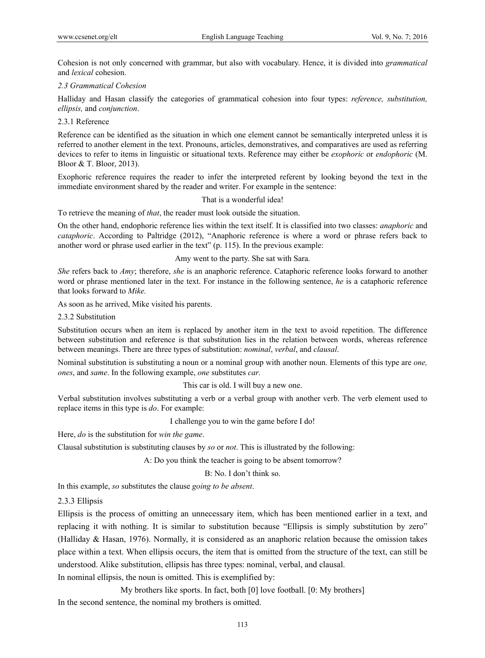Cohesion is not only concerned with grammar, but also with vocabulary. Hence, it is divided into *grammatical* and *lexical* cohesion.

#### *2.3 Grammatical Cohesion*

Halliday and Hasan classify the categories of grammatical cohesion into four types: *reference, substitution, ellipsis,* and *conjunction*.

2.3.1 Reference

Reference can be identified as the situation in which one element cannot be semantically interpreted unless it is referred to another element in the text. Pronouns, articles, demonstratives, and comparatives are used as referring devices to refer to items in linguistic or situational texts. Reference may either be *exophoric* or *endophoric* (M. Bloor & T. Bloor, 2013).

Exophoric reference requires the reader to infer the interpreted referent by looking beyond the text in the immediate environment shared by the reader and writer. For example in the sentence:

#### That is a wonderful idea!

To retrieve the meaning of *that*, the reader must look outside the situation.

On the other hand, endophoric reference lies within the text itself. It is classified into two classes: *anaphoric* and *cataphoric*. According to Paltridge (2012), "Anaphoric reference is where a word or phrase refers back to another word or phrase used earlier in the text" (p. 115). In the previous example:

#### Amy went to the party. She sat with Sara.

*She* refers back to *Amy*; therefore, *she* is an anaphoric reference. Cataphoric reference looks forward to another word or phrase mentioned later in the text. For instance in the following sentence, *he* is a cataphoric reference that looks forward to *Mike.*

As soon as he arrived, Mike visited his parents.

2.3.2 Substitution

Substitution occurs when an item is replaced by another item in the text to avoid repetition. The difference between substitution and reference is that substitution lies in the relation between words, whereas reference between meanings. There are three types of substitution: *nominal*, *verbal*, and *clausal*.

Nominal substitution is substituting a noun or a nominal group with another noun. Elements of this type are *one, ones*, and *same*. In the following example, *one* substitutes *car.*

This car is old. I will buy a new one.

Verbal substitution involves substituting a verb or a verbal group with another verb. The verb element used to replace items in this type is *do*. For example:

I challenge you to win the game before I do!

Here, *do* is the substitution for *win the game*.

Clausal substitution is substituting clauses by *so* or *not*. This is illustrated by the following:

#### A: Do you think the teacher is going to be absent tomorrow?

B: No. I don't think so.

In this example, *so* substitutes the clause *going to be absent*.

2.3.3 Ellipsis

Ellipsis is the process of omitting an unnecessary item, which has been mentioned earlier in a text, and replacing it with nothing. It is similar to substitution because "Ellipsis is simply substitution by zero" (Halliday & Hasan, 1976). Normally, it is considered as an anaphoric relation because the omission takes place within a text. When ellipsis occurs, the item that is omitted from the structure of the text, can still be understood. Alike substitution, ellipsis has three types: nominal, verbal, and clausal.

In nominal ellipsis, the noun is omitted. This is exemplified by:

My brothers like sports. In fact, both [0] love football. [0: My brothers] In the second sentence, the nominal my brothers is omitted.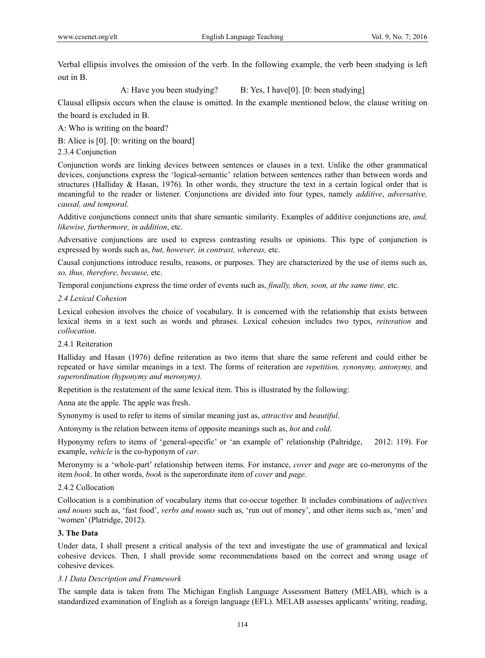Verbal ellipsis involves the omission of the verb. In the following example, the verb been studying is left out in B.

A: Have you been studying? B: Yes, I have [0]. [0: been studying]

Clausal ellipsis occurs when the clause is omitted. In the example mentioned below, the clause writing on the board is excluded in B.

A: Who is writing on the board?

B: Alice is [0]. [0: writing on the board]

2.3.4 Conjunction

Conjunction words are linking devices between sentences or clauses in a text. Unlike the other grammatical devices, conjunctions express the 'logical-semantic' relation between sentences rather than between words and structures (Halliday & Hasan, 1976). In other words, they structure the text in a certain logical order that is meaningful to the reader or listener. Conjunctions are divided into four types, namely *additive*, *adversative, causal, and temporal*.

Additive conjunctions connect units that share semantic similarity. Examples of additive conjunctions are, *and, likewise, furthermore, in addition*, etc.

Adversative conjunctions are used to express contrasting results or opinions. This type of conjunction is expressed by words such as, *but, however, in contrast, whereas,* etc.

Causal conjunctions introduce results, reasons, or purposes. They are characterized by the use of items such as, *so, thus, therefore, because,* etc.

Temporal conjunctions express the time order of events such as, *finally, then, soon, at the same time,* etc.

## *2.4 Lexical Cohesion*

Lexical cohesion involves the choice of vocabulary. It is concerned with the relationship that exists between lexical items in a text such as words and phrases. Lexical cohesion includes two types, *reiteration* and *collocation*.

2.4.1 Reiteration

Halliday and Hasan (1976) define reiteration as two items that share the same referent and could either be repeated or have similar meanings in a text. The forms of reiteration are *repetition, synonymy, antonymy,* and *superordination (hyponymy and meronymy).* 

Repetition is the restatement of the same lexical item. This is illustrated by the following:

Anna ate the apple. The apple was fresh.

Synonymy is used to refer to items of similar meaning just as, *attractive* and *beautiful*.

Antonymy is the relation between items of opposite meanings such as, *hot* and *cold*.

Hyponymy refers to items of 'general-specific' or 'an example of' relationship (Paltridge, 2012: 119). For example, *vehicle* is the co-hyponym of *car*.

Meronymy is a 'whole-part' relationship between items. For instance, *cover* and *page* are co-meronyms of the item *book*. In other words, *book* is the superordinate item of *cover* and *page*.

## 2.4.2 Collocation

Collocation is a combination of vocabulary items that co-occur together. It includes combinations of *adjectives and nouns* such as, 'fast food', *verbs and nouns* such as, 'run out of money', and other items such as, 'men' and 'women' (Platridge, 2012).

# **3. The Data**

Under data, I shall present a critical analysis of the text and investigate the use of grammatical and lexical cohesive devices. Then, I shall provide some recommendations based on the correct and wrong usage of cohesive devices.

# *3.1 Data Description and Framework*

The sample data is taken from The Michigan English Language Assessment Battery (MELAB), which is a standardized examination of English as a foreign language (EFL). MELAB assesses applicants' writing, reading,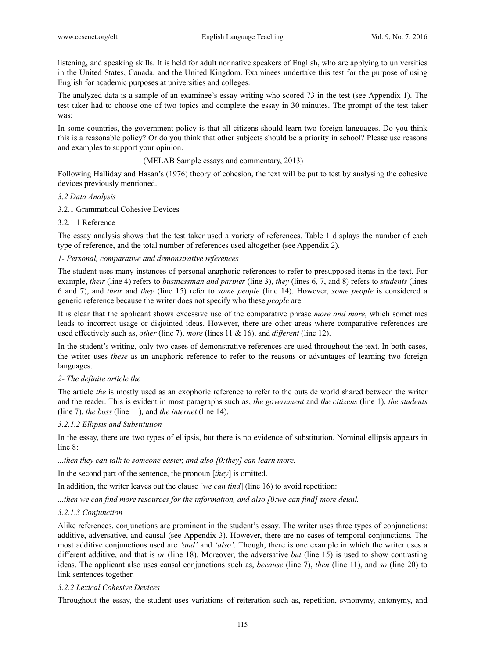listening, and speaking skills. It is held for adult nonnative speakers of English, who are applying to universities in the United States, Canada, and the United Kingdom. Examinees undertake this test for the purpose of using English for academic purposes at universities and colleges.

The analyzed data is a sample of an examinee's essay writing who scored 73 in the test (see Appendix 1). The test taker had to choose one of two topics and complete the essay in 30 minutes. The prompt of the test taker was:

In some countries, the government policy is that all citizens should learn two foreign languages. Do you think this is a reasonable policy? Or do you think that other subjects should be a priority in school? Please use reasons and examples to support your opinion.

#### (MELAB Sample essays and commentary, 2013)

Following Halliday and Hasan's (1976) theory of cohesion, the text will be put to test by analysing the cohesive devices previously mentioned.

#### *3.2 Data Analysis*

3.2.1 Grammatical Cohesive Devices

## 3.2.1.1 Reference

The essay analysis shows that the test taker used a variety of references. Table 1 displays the number of each type of reference, and the total number of references used altogether (see Appendix 2).

## *1- Personal, comparative and demonstrative references*

The student uses many instances of personal anaphoric references to refer to presupposed items in the text. For example, *their* (line 4) refers to *businessman and partner* (line 3), *they* (lines 6, 7, and 8) refers to *students* (lines 6 and 7), and *their* and *they* (line 15) refer to *some people* (line 14). However, *some people* is considered a generic reference because the writer does not specify who these *people* are.

It is clear that the applicant shows excessive use of the comparative phrase *more and more*, which sometimes leads to incorrect usage or disjointed ideas. However, there are other areas where comparative references are used effectively such as, *other* (line 7), *more* (lines 11 & 16), and *different* (line 12).

In the student's writing, only two cases of demonstrative references are used throughout the text. In both cases, the writer uses *these* as an anaphoric reference to refer to the reasons or advantages of learning two foreign languages.

## *2- The definite article the*

The article *the* is mostly used as an exophoric reference to refer to the outside world shared between the writer and the reader. This is evident in most paragraphs such as, *the government* and *the citizens* (line 1), *the students* (line 7), *the boss* (line 11)*,* and *the internet* (line 14).

#### *3.2.1.2 Ellipsis and Substitution*

In the essay, there are two types of ellipsis, but there is no evidence of substitution. Nominal ellipsis appears in line 8:

*...then they can talk to someone easier, and also [0:they] can learn more.* 

In the second part of the sentence, the pronoun [*they*] is omitted.

In addition, the writer leaves out the clause [*we can find*] (line 16) to avoid repetition:

*...then we can find more resources for the information, and also [0:we can find] more detail.* 

## *3.2.1.3 Conjunction*

Alike references, conjunctions are prominent in the student's essay. The writer uses three types of conjunctions: additive, adversative, and causal (see Appendix 3). However, there are no cases of temporal conjunctions. The most additive conjunctions used are *'and'* and *'also'*. Though, there is one example in which the writer uses a different additive, and that is *or* (line 18). Moreover, the adversative *but* (line 15) is used to show contrasting ideas. The applicant also uses causal conjunctions such as, *because* (line 7), *then* (line 11), and *so* (line 20) to link sentences together.

#### *3.2.2 Lexical Cohesive Devices*

Throughout the essay, the student uses variations of reiteration such as, repetition, synonymy, antonymy, and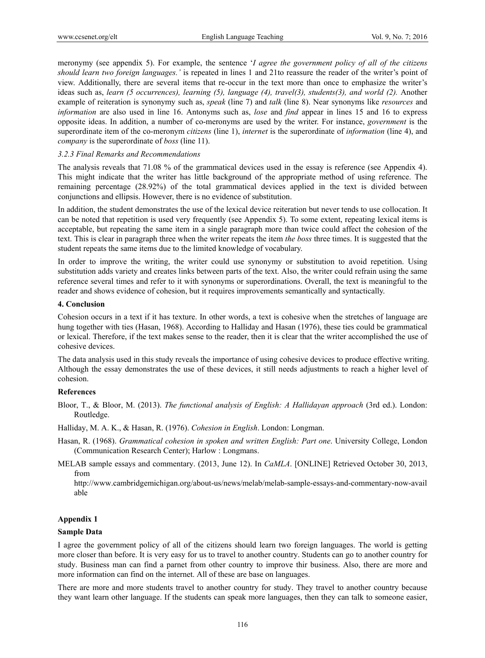meronymy (see appendix 5). For example, the sentence '*I agree the government policy of all of the citizens should learn two foreign languages.'* is repeated in lines 1 and 21to reassure the reader of the writer's point of view. Additionally, there are several items that re-occur in the text more than once to emphasize the writer's ideas such as, *learn (5 occurrences), learning (5), language (4), travel(3), students(3), and world (2).* Another example of reiteration is synonymy such as, *speak* (line 7) and *talk* (line 8). Near synonyms like *resources* and *information* are also used in line 16. Antonyms such as, *lose* and *find* appear in lines 15 and 16 to express opposite ideas. In addition, a number of co-meronyms are used by the writer. For instance, *government* is the superordinate item of the co-meronym *citizens* (line 1), *internet* is the superordinate of *information* (line 4), and *company* is the superordinate of *boss* (line 11).

#### *3.2.3 Final Remarks and Recommendations*

The analysis reveals that 71.08 % of the grammatical devices used in the essay is reference (see Appendix 4). This might indicate that the writer has little background of the appropriate method of using reference. The remaining percentage (28.92%) of the total grammatical devices applied in the text is divided between conjunctions and ellipsis. However, there is no evidence of substitution.

In addition, the student demonstrates the use of the lexical device reiteration but never tends to use collocation. It can be noted that repetition is used very frequently (see Appendix 5). To some extent, repeating lexical items is acceptable, but repeating the same item in a single paragraph more than twice could affect the cohesion of the text. This is clear in paragraph three when the writer repeats the item *the boss* three times. It is suggested that the student repeats the same items due to the limited knowledge of vocabulary.

In order to improve the writing, the writer could use synonymy or substitution to avoid repetition. Using substitution adds variety and creates links between parts of the text. Also, the writer could refrain using the same reference several times and refer to it with synonyms or superordinations. Overall, the text is meaningful to the reader and shows evidence of cohesion, but it requires improvements semantically and syntactically.

#### **4. Conclusion**

Cohesion occurs in a text if it has texture. In other words, a text is cohesive when the stretches of language are hung together with ties (Hasan, 1968). According to Halliday and Hasan (1976), these ties could be grammatical or lexical. Therefore, if the text makes sense to the reader, then it is clear that the writer accomplished the use of cohesive devices.

The data analysis used in this study reveals the importance of using cohesive devices to produce effective writing. Although the essay demonstrates the use of these devices, it still needs adjustments to reach a higher level of cohesion.

## **References**

Bloor, T., & Bloor, M. (2013). *The functional analysis of English: A Hallidayan approach* (3rd ed.). London: Routledge.

Halliday, M. A. K., & Hasan, R. (1976). *Cohesion in English*. London: Longman.

- Hasan, R. (1968). *Grammatical cohesion in spoken and written English: Part one*. University College, London (Communication Research Center); Harlow : Longmans.
- MELAB sample essays and commentary. (2013, June 12). In *CaMLA*. [ONLINE] Retrieved October 30, 2013, from

http://www.cambridgemichigan.org/about-us/news/melab/melab-sample-essays-and-commentary-now-avail able

## **Appendix 1**

## **Sample Data**

I agree the government policy of all of the citizens should learn two foreign languages. The world is getting more closer than before. It is very easy for us to travel to another country. Students can go to another country for study. Business man can find a parnet from other country to improve thir business. Also, there are more and more information can find on the internet. All of these are base on languages.

There are more and more students travel to another country for study. They travel to another country because they want learn other language. If the students can speak more languages, then they can talk to someone easier,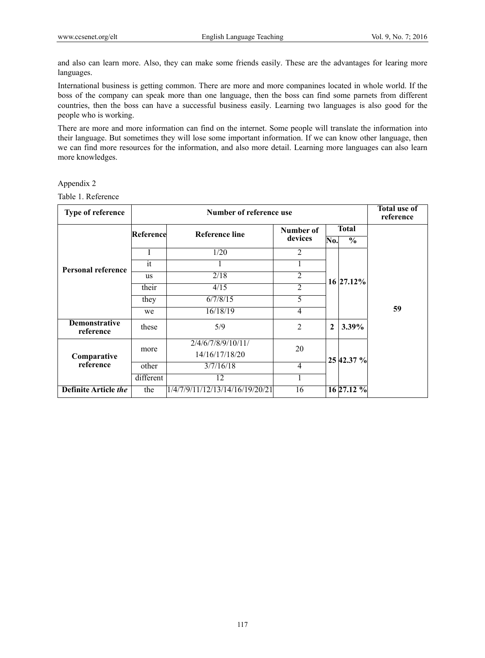and also can learn more. Also, they can make some friends easily. These are the advantages for learing more languages.

International business is getting common. There are more and more companines located in whole world. If the boss of the company can speak more than one language, then the boss can find some parnets from different countries, then the boss can have a successful business easily. Learning two languages is also good for the people who is working.

There are more and more information can find on the internet. Some people will translate the information into their language. But sometimes they will lose some important information. If we can know other language, then we can find more resources for the information, and also more detail. Learning more languages can also learn more knowledges.

## Appendix 2

Table 1. Reference

| Type of reference                 |           | Number of reference use           |                      |              |               |    |
|-----------------------------------|-----------|-----------------------------------|----------------------|--------------|---------------|----|
| <b>Personal reference</b>         | Reference | <b>Reference line</b>             | Number of<br>devices | <b>Total</b> |               |    |
|                                   |           |                                   |                      | No.          | $\frac{6}{6}$ | 59 |
|                                   | I         | 1/20                              | $\overline{2}$       |              | 16 27.12%     |    |
|                                   | it        |                                   |                      |              |               |    |
|                                   | <b>us</b> | 2/18                              | $\overline{2}$       |              |               |    |
|                                   | their     | 4/15                              | $\overline{2}$       |              |               |    |
|                                   | they      | 6/7/8/15                          | 5                    |              |               |    |
|                                   | we        | 16/18/19                          | $\overline{4}$       |              |               |    |
| <b>Demonstrative</b><br>reference | these     | 5/9                               | $\overline{2}$       | $\mathbf{2}$ | 3.39%         |    |
| Comparative<br>reference          | more      | 2/4/6/7/8/9/10/11/                | 20                   |              | 25 42.37 %    |    |
|                                   |           | 14/16/17/18/20                    |                      |              |               |    |
|                                   | other     | 3/7/16/18                         | 4                    |              |               |    |
|                                   | different | 12                                |                      |              |               |    |
| <b>Definite Article the</b>       | the       | 1/4/7/9/11/<br>'13/14/16/19/20/21 | 16                   |              | 16 27.12 %    |    |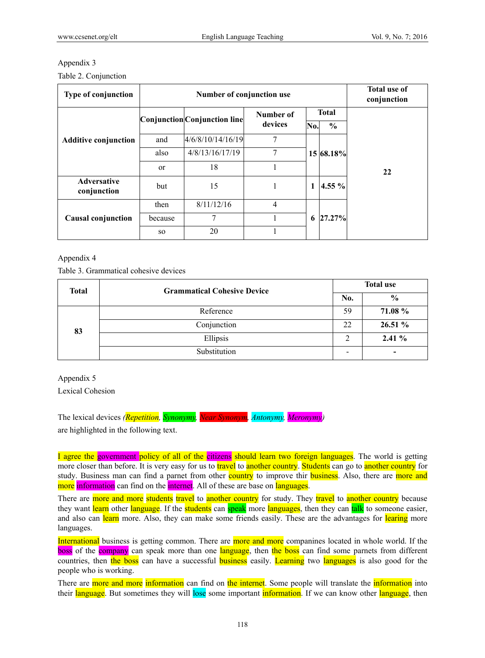# Appendix 3 Table 2. Conjunction

| <b>Type of conjunction</b>        |               | <b>Total use of</b><br>conjunction |           |     |               |    |  |
|-----------------------------------|---------------|------------------------------------|-----------|-----|---------------|----|--|
|                                   |               | Conjunction Conjunction line       | Number of |     | <b>Total</b>  |    |  |
| <b>Additive conjunction</b>       |               |                                    | devices   | No. | $\frac{6}{9}$ |    |  |
|                                   | and           | 4/6/8/10/14/16/19                  | $\tau$    |     |               | 22 |  |
|                                   | also          | 4/8/13/16/17/19                    | 7         |     | 15 68.18%     |    |  |
|                                   | $\alpha$      | 18                                 |           |     |               |    |  |
| <b>Adversative</b><br>conjunction | but           | 15                                 |           | 1   | $4.55\%$      |    |  |
|                                   | then          | 8/11/12/16                         | 4         |     |               |    |  |
| <b>Causal conjunction</b>         | because       | 7                                  |           | 6   | 27.27%        |    |  |
|                                   | <sub>SO</sub> | 20                                 |           |     |               |    |  |

# Appendix 4

Table 3. Grammatical cohesive devices

| <b>Total</b> | <b>Grammatical Cohesive Device</b> | <b>Total use</b> |               |  |
|--------------|------------------------------------|------------------|---------------|--|
|              |                                    |                  | $\frac{6}{9}$ |  |
| 83           | Reference                          | 59               | 71.08 %       |  |
|              | Conjunction                        | 22               | 26.51%        |  |
|              | Ellipsis                           |                  | 2.41%         |  |
|              | Substitution                       |                  |               |  |

Appendix 5 Lexical Cohesion

The lexical devices *(Repetition, Synonymy, Near Synonym, Antonymy, Meronymy)*  are highlighted in the following text.

I agree the government policy of all of the citizens should learn two foreign languages. The world is getting more closer than before. It is very easy for us to **travel** to **another country**. Students can go to **another country** for study. Business man can find a parnet from other country to improve thir business. Also, there are more and more information can find on the internet. All of these are base on languages.

There are more and more students travel to another country for study. They travel to another country because they want learn other language. If the students can speak more languages, then they can talk to someone easier, and also can learn more. Also, they can make some friends easily. These are the advantages for learing more languages.

International business is getting common. There are more and more companines located in whole world. If the boss of the company can speak more than one language, then the boss can find some parnets from different countries, then the boss can have a successful business easily. Learning two languages is also good for the people who is working.

There are more and more information can find on the internet. Some people will translate the information into their language. But sometimes they will lose some important information. If we can know other language, then